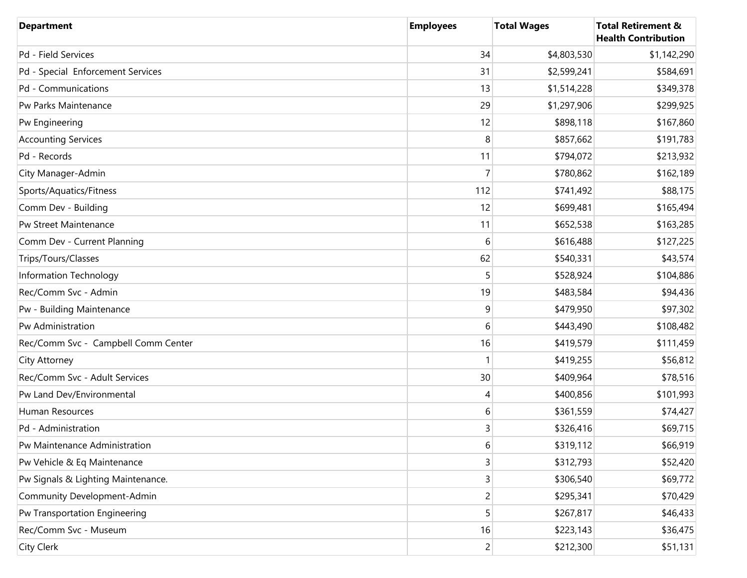| <b>Department</b>                   | <b>Employees</b> | <b>Total Wages</b> | <b>Total Retirement &amp;</b><br><b>Health Contribution</b> |
|-------------------------------------|------------------|--------------------|-------------------------------------------------------------|
| Pd - Field Services                 | 34               | \$4,803,530        | \$1,142,290                                                 |
| Pd - Special Enforcement Services   | 31               | \$2,599,241        | \$584,691                                                   |
| Pd - Communications                 | 13               | \$1,514,228        | \$349,378                                                   |
| Pw Parks Maintenance                | 29               | \$1,297,906        | \$299,925                                                   |
| Pw Engineering                      | 12               | \$898,118          | \$167,860                                                   |
| <b>Accounting Services</b>          | 8                | \$857,662          | \$191,783                                                   |
| Pd - Records                        | 11               | \$794,072          | \$213,932                                                   |
| City Manager-Admin                  | 7                | \$780,862          | \$162,189                                                   |
| Sports/Aquatics/Fitness             | 112              | \$741,492          | \$88,175                                                    |
| Comm Dev - Building                 | 12               | \$699,481          | \$165,494                                                   |
| Pw Street Maintenance               | 11               | \$652,538          | \$163,285                                                   |
| Comm Dev - Current Planning         | 6                | \$616,488          | \$127,225                                                   |
| Trips/Tours/Classes                 | 62               | \$540,331          | \$43,574                                                    |
| Information Technology              |                  | \$528,924          | \$104,886                                                   |
| Rec/Comm Svc - Admin                | 19               | \$483,584          | \$94,436                                                    |
| Pw - Building Maintenance           | 9                | \$479,950          | \$97,302                                                    |
| Pw Administration                   | 6                | \$443,490          | \$108,482                                                   |
| Rec/Comm Svc - Campbell Comm Center | 16               | \$419,579          | \$111,459                                                   |
| City Attorney                       |                  | \$419,255          | \$56,812                                                    |
| Rec/Comm Svc - Adult Services       | 30               | \$409,964          | \$78,516                                                    |
| Pw Land Dev/Environmental           | 4                | \$400,856          | \$101,993                                                   |
| Human Resources                     | 6                | \$361,559          | \$74,427                                                    |
| Pd - Administration                 | 3                | \$326,416          | \$69,715                                                    |
| Pw Maintenance Administration       | $6 \overline{6}$ | \$319,112          | \$66,919                                                    |
| Pw Vehicle & Eq Maintenance         | 3                | \$312,793          | \$52,420                                                    |
| Pw Signals & Lighting Maintenance.  | 3                | \$306,540          | \$69,772                                                    |
| Community Development-Admin         | $\overline{c}$   | \$295,341          | \$70,429                                                    |
| Pw Transportation Engineering       | 5                | \$267,817          | \$46,433                                                    |
| Rec/Comm Svc - Museum               | 16               | \$223,143          | \$36,475                                                    |
| City Clerk                          | $\overline{2}$   | \$212,300          | \$51,131                                                    |